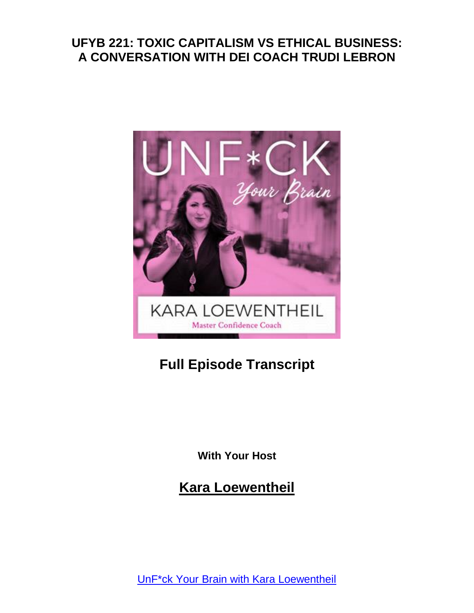

# **Full Episode Transcript**

**With Your Host**

**Kara Loewentheil**

UnF\*ck Your Brain with Kara [Loewentheil](https://unfuckyourbrain.com/podcast/)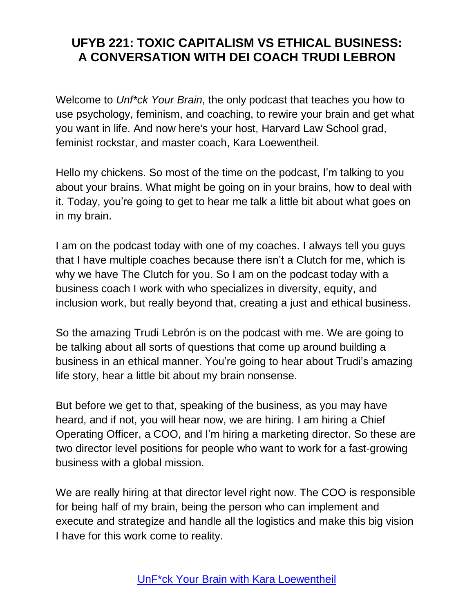Welcome to *Unf\*ck Your Brain*, the only podcast that teaches you how to use psychology, feminism, and coaching, to rewire your brain and get what you want in life. And now here's your host, Harvard Law School grad, feminist rockstar, and master coach, Kara Loewentheil.

Hello my chickens. So most of the time on the podcast, I'm talking to you about your brains. What might be going on in your brains, how to deal with it. Today, you're going to get to hear me talk a little bit about what goes on in my brain.

I am on the podcast today with one of my coaches. I always tell you guys that I have multiple coaches because there isn't a Clutch for me, which is why we have The Clutch for you. So I am on the podcast today with a business coach I work with who specializes in diversity, equity, and inclusion work, but really beyond that, creating a just and ethical business.

So the amazing Trudi Lebrón is on the podcast with me. We are going to be talking about all sorts of questions that come up around building a business in an ethical manner. You're going to hear about Trudi's amazing life story, hear a little bit about my brain nonsense.

But before we get to that, speaking of the business, as you may have heard, and if not, you will hear now, we are hiring. I am hiring a Chief Operating Officer, a COO, and I'm hiring a marketing director. So these are two director level positions for people who want to work for a fast-growing business with a global mission.

We are really hiring at that director level right now. The COO is responsible for being half of my brain, being the person who can implement and execute and strategize and handle all the logistics and make this big vision I have for this work come to reality.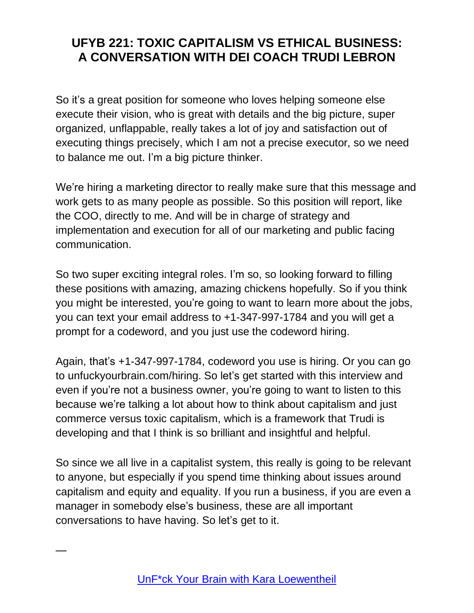So it's a great position for someone who loves helping someone else execute their vision, who is great with details and the big picture, super organized, unflappable, really takes a lot of joy and satisfaction out of executing things precisely, which I am not a precise executor, so we need to balance me out. I'm a big picture thinker.

We're hiring a marketing director to really make sure that this message and work gets to as many people as possible. So this position will report, like the COO, directly to me. And will be in charge of strategy and implementation and execution for all of our marketing and public facing communication.

So two super exciting integral roles. I'm so, so looking forward to filling these positions with amazing, amazing chickens hopefully. So if you think you might be interested, you're going to want to learn more about the jobs, you can text your email address to +1-347-997-1784 and you will get a prompt for a codeword, and you just use the codeword hiring.

Again, that's +1-347-997-1784, codeword you use is hiring. Or you can go to unfuckyourbrain.com/hiring. So let's get started with this interview and even if you're not a business owner, you're going to want to listen to this because we're talking a lot about how to think about capitalism and just commerce versus toxic capitalism, which is a framework that Trudi is developing and that I think is so brilliant and insightful and helpful.

So since we all live in a capitalist system, this really is going to be relevant to anyone, but especially if you spend time thinking about issues around capitalism and equity and equality. If you run a business, if you are even a manager in somebody else's business, these are all important conversations to have having. So let's get to it.

—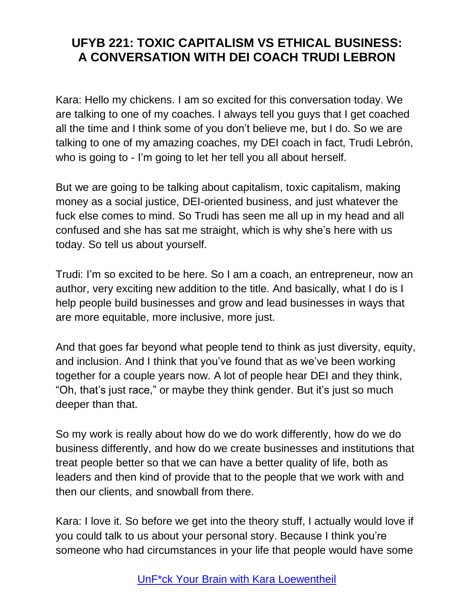Kara: Hello my chickens. I am so excited for this conversation today. We are talking to one of my coaches. I always tell you guys that I get coached all the time and I think some of you don't believe me, but I do. So we are talking to one of my amazing coaches, my DEI coach in fact, Trudi Lebrón, who is going to - I'm going to let her tell you all about herself.

But we are going to be talking about capitalism, toxic capitalism, making money as a social justice, DEI-oriented business, and just whatever the fuck else comes to mind. So Trudi has seen me all up in my head and all confused and she has sat me straight, which is why she's here with us today. So tell us about yourself.

Trudi: I'm so excited to be here. So I am a coach, an entrepreneur, now an author, very exciting new addition to the title. And basically, what I do is I help people build businesses and grow and lead businesses in ways that are more equitable, more inclusive, more just.

And that goes far beyond what people tend to think as just diversity, equity, and inclusion. And I think that you've found that as we've been working together for a couple years now. A lot of people hear DEI and they think, "Oh, that's just race," or maybe they think gender. But it's just so much deeper than that.

So my work is really about how do we do work differently, how do we do business differently, and how do we create businesses and institutions that treat people better so that we can have a better quality of life, both as leaders and then kind of provide that to the people that we work with and then our clients, and snowball from there.

Kara: I love it. So before we get into the theory stuff, I actually would love if you could talk to us about your personal story. Because I think you're someone who had circumstances in your life that people would have some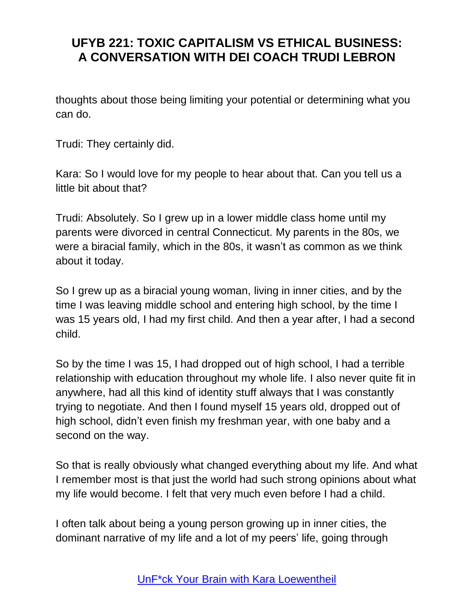thoughts about those being limiting your potential or determining what you can do.

Trudi: They certainly did.

Kara: So I would love for my people to hear about that. Can you tell us a little bit about that?

Trudi: Absolutely. So I grew up in a lower middle class home until my parents were divorced in central Connecticut. My parents in the 80s, we were a biracial family, which in the 80s, it wasn't as common as we think about it today.

So I grew up as a biracial young woman, living in inner cities, and by the time I was leaving middle school and entering high school, by the time I was 15 years old, I had my first child. And then a year after, I had a second child.

So by the time I was 15, I had dropped out of high school, I had a terrible relationship with education throughout my whole life. I also never quite fit in anywhere, had all this kind of identity stuff always that I was constantly trying to negotiate. And then I found myself 15 years old, dropped out of high school, didn't even finish my freshman year, with one baby and a second on the way.

So that is really obviously what changed everything about my life. And what I remember most is that just the world had such strong opinions about what my life would become. I felt that very much even before I had a child.

I often talk about being a young person growing up in inner cities, the dominant narrative of my life and a lot of my peers' life, going through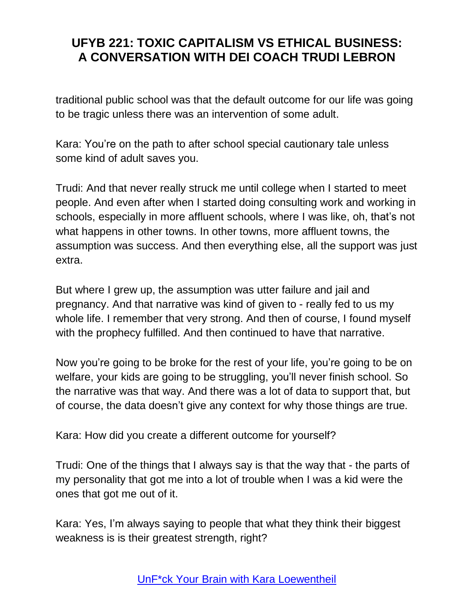traditional public school was that the default outcome for our life was going to be tragic unless there was an intervention of some adult.

Kara: You're on the path to after school special cautionary tale unless some kind of adult saves you.

Trudi: And that never really struck me until college when I started to meet people. And even after when I started doing consulting work and working in schools, especially in more affluent schools, where I was like, oh, that's not what happens in other towns. In other towns, more affluent towns, the assumption was success. And then everything else, all the support was just extra.

But where I grew up, the assumption was utter failure and jail and pregnancy. And that narrative was kind of given to - really fed to us my whole life. I remember that very strong. And then of course, I found myself with the prophecy fulfilled. And then continued to have that narrative.

Now you're going to be broke for the rest of your life, you're going to be on welfare, your kids are going to be struggling, you'll never finish school. So the narrative was that way. And there was a lot of data to support that, but of course, the data doesn't give any context for why those things are true.

Kara: How did you create a different outcome for yourself?

Trudi: One of the things that I always say is that the way that - the parts of my personality that got me into a lot of trouble when I was a kid were the ones that got me out of it.

Kara: Yes, I'm always saying to people that what they think their biggest weakness is is their greatest strength, right?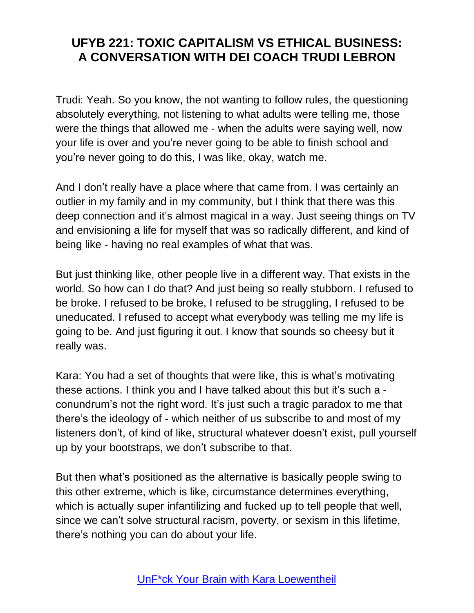Trudi: Yeah. So you know, the not wanting to follow rules, the questioning absolutely everything, not listening to what adults were telling me, those were the things that allowed me - when the adults were saying well, now your life is over and you're never going to be able to finish school and you're never going to do this, I was like, okay, watch me.

And I don't really have a place where that came from. I was certainly an outlier in my family and in my community, but I think that there was this deep connection and it's almost magical in a way. Just seeing things on TV and envisioning a life for myself that was so radically different, and kind of being like - having no real examples of what that was.

But just thinking like, other people live in a different way. That exists in the world. So how can I do that? And just being so really stubborn. I refused to be broke. I refused to be broke, I refused to be struggling, I refused to be uneducated. I refused to accept what everybody was telling me my life is going to be. And just figuring it out. I know that sounds so cheesy but it really was.

Kara: You had a set of thoughts that were like, this is what's motivating these actions. I think you and I have talked about this but it's such a conundrum's not the right word. It's just such a tragic paradox to me that there's the ideology of - which neither of us subscribe to and most of my listeners don't, of kind of like, structural whatever doesn't exist, pull yourself up by your bootstraps, we don't subscribe to that.

But then what's positioned as the alternative is basically people swing to this other extreme, which is like, circumstance determines everything, which is actually super infantilizing and fucked up to tell people that well, since we can't solve structural racism, poverty, or sexism in this lifetime, there's nothing you can do about your life.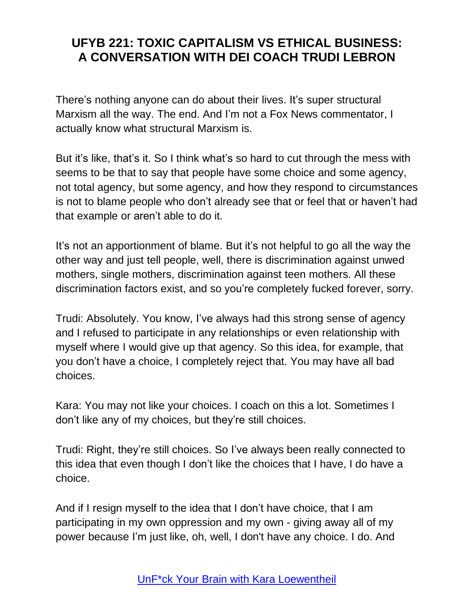There's nothing anyone can do about their lives. It's super structural Marxism all the way. The end. And I'm not a Fox News commentator, I actually know what structural Marxism is.

But it's like, that's it. So I think what's so hard to cut through the mess with seems to be that to say that people have some choice and some agency, not total agency, but some agency, and how they respond to circumstances is not to blame people who don't already see that or feel that or haven't had that example or aren't able to do it.

It's not an apportionment of blame. But it's not helpful to go all the way the other way and just tell people, well, there is discrimination against unwed mothers, single mothers, discrimination against teen mothers. All these discrimination factors exist, and so you're completely fucked forever, sorry.

Trudi: Absolutely. You know, I've always had this strong sense of agency and I refused to participate in any relationships or even relationship with myself where I would give up that agency. So this idea, for example, that you don't have a choice, I completely reject that. You may have all bad choices.

Kara: You may not like your choices. I coach on this a lot. Sometimes I don't like any of my choices, but they're still choices.

Trudi: Right, they're still choices. So I've always been really connected to this idea that even though I don't like the choices that I have, I do have a choice.

And if I resign myself to the idea that I don't have choice, that I am participating in my own oppression and my own - giving away all of my power because I'm just like, oh, well, I don't have any choice. I do. And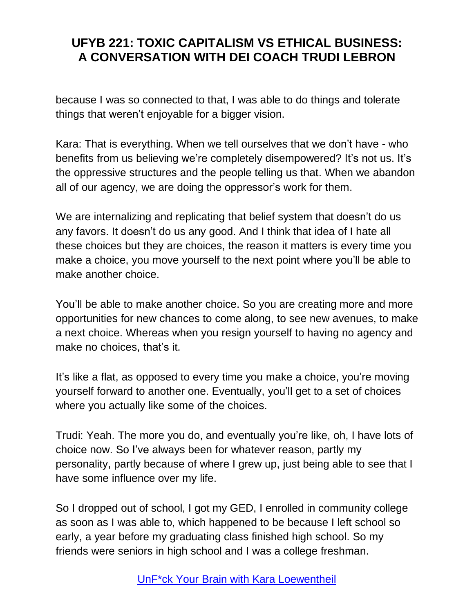because I was so connected to that, I was able to do things and tolerate things that weren't enjoyable for a bigger vision.

Kara: That is everything. When we tell ourselves that we don't have - who benefits from us believing we're completely disempowered? It's not us. It's the oppressive structures and the people telling us that. When we abandon all of our agency, we are doing the oppressor's work for them.

We are internalizing and replicating that belief system that doesn't do us any favors. It doesn't do us any good. And I think that idea of I hate all these choices but they are choices, the reason it matters is every time you make a choice, you move yourself to the next point where you'll be able to make another choice.

You'll be able to make another choice. So you are creating more and more opportunities for new chances to come along, to see new avenues, to make a next choice. Whereas when you resign yourself to having no agency and make no choices, that's it.

It's like a flat, as opposed to every time you make a choice, you're moving yourself forward to another one. Eventually, you'll get to a set of choices where you actually like some of the choices.

Trudi: Yeah. The more you do, and eventually you're like, oh, I have lots of choice now. So I've always been for whatever reason, partly my personality, partly because of where I grew up, just being able to see that I have some influence over my life.

So I dropped out of school, I got my GED, I enrolled in community college as soon as I was able to, which happened to be because I left school so early, a year before my graduating class finished high school. So my friends were seniors in high school and I was a college freshman.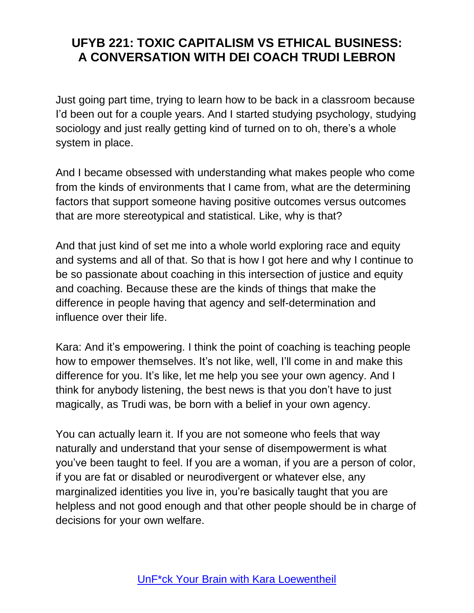Just going part time, trying to learn how to be back in a classroom because I'd been out for a couple years. And I started studying psychology, studying sociology and just really getting kind of turned on to oh, there's a whole system in place.

And I became obsessed with understanding what makes people who come from the kinds of environments that I came from, what are the determining factors that support someone having positive outcomes versus outcomes that are more stereotypical and statistical. Like, why is that?

And that just kind of set me into a whole world exploring race and equity and systems and all of that. So that is how I got here and why I continue to be so passionate about coaching in this intersection of justice and equity and coaching. Because these are the kinds of things that make the difference in people having that agency and self-determination and influence over their life.

Kara: And it's empowering. I think the point of coaching is teaching people how to empower themselves. It's not like, well, I'll come in and make this difference for you. It's like, let me help you see your own agency. And I think for anybody listening, the best news is that you don't have to just magically, as Trudi was, be born with a belief in your own agency.

You can actually learn it. If you are not someone who feels that way naturally and understand that your sense of disempowerment is what you've been taught to feel. If you are a woman, if you are a person of color, if you are fat or disabled or neurodivergent or whatever else, any marginalized identities you live in, you're basically taught that you are helpless and not good enough and that other people should be in charge of decisions for your own welfare.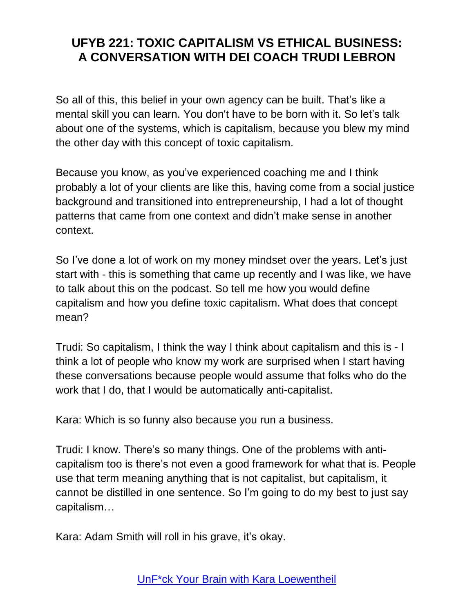So all of this, this belief in your own agency can be built. That's like a mental skill you can learn. You don't have to be born with it. So let's talk about one of the systems, which is capitalism, because you blew my mind the other day with this concept of toxic capitalism.

Because you know, as you've experienced coaching me and I think probably a lot of your clients are like this, having come from a social justice background and transitioned into entrepreneurship, I had a lot of thought patterns that came from one context and didn't make sense in another context.

So I've done a lot of work on my money mindset over the years. Let's just start with - this is something that came up recently and I was like, we have to talk about this on the podcast. So tell me how you would define capitalism and how you define toxic capitalism. What does that concept mean?

Trudi: So capitalism, I think the way I think about capitalism and this is - I think a lot of people who know my work are surprised when I start having these conversations because people would assume that folks who do the work that I do, that I would be automatically anti-capitalist.

Kara: Which is so funny also because you run a business.

Trudi: I know. There's so many things. One of the problems with anticapitalism too is there's not even a good framework for what that is. People use that term meaning anything that is not capitalist, but capitalism, it cannot be distilled in one sentence. So I'm going to do my best to just say capitalism…

Kara: Adam Smith will roll in his grave, it's okay.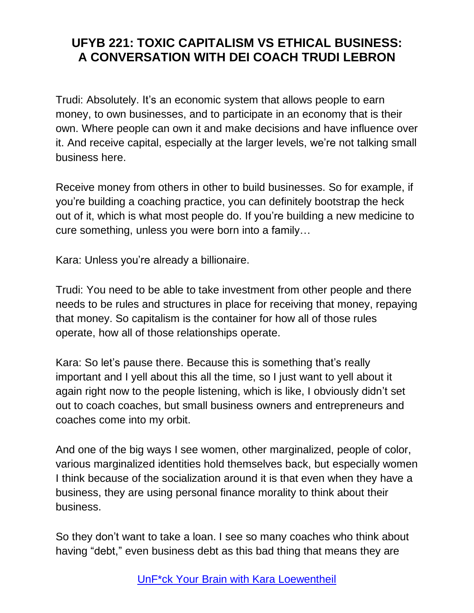Trudi: Absolutely. It's an economic system that allows people to earn money, to own businesses, and to participate in an economy that is their own. Where people can own it and make decisions and have influence over it. And receive capital, especially at the larger levels, we're not talking small business here.

Receive money from others in other to build businesses. So for example, if you're building a coaching practice, you can definitely bootstrap the heck out of it, which is what most people do. If you're building a new medicine to cure something, unless you were born into a family…

Kara: Unless you're already a billionaire.

Trudi: You need to be able to take investment from other people and there needs to be rules and structures in place for receiving that money, repaying that money. So capitalism is the container for how all of those rules operate, how all of those relationships operate.

Kara: So let's pause there. Because this is something that's really important and I yell about this all the time, so I just want to yell about it again right now to the people listening, which is like, I obviously didn't set out to coach coaches, but small business owners and entrepreneurs and coaches come into my orbit.

And one of the big ways I see women, other marginalized, people of color, various marginalized identities hold themselves back, but especially women I think because of the socialization around it is that even when they have a business, they are using personal finance morality to think about their business.

So they don't want to take a loan. I see so many coaches who think about having "debt," even business debt as this bad thing that means they are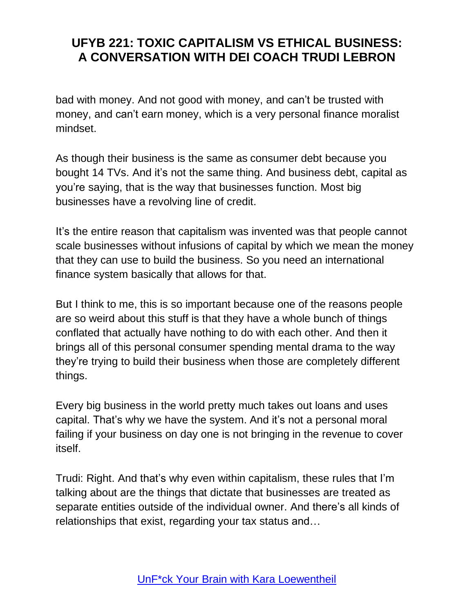bad with money. And not good with money, and can't be trusted with money, and can't earn money, which is a very personal finance moralist mindset.

As though their business is the same as consumer debt because you bought 14 TVs. And it's not the same thing. And business debt, capital as you're saying, that is the way that businesses function. Most big businesses have a revolving line of credit.

It's the entire reason that capitalism was invented was that people cannot scale businesses without infusions of capital by which we mean the money that they can use to build the business. So you need an international finance system basically that allows for that.

But I think to me, this is so important because one of the reasons people are so weird about this stuff is that they have a whole bunch of things conflated that actually have nothing to do with each other. And then it brings all of this personal consumer spending mental drama to the way they're trying to build their business when those are completely different things.

Every big business in the world pretty much takes out loans and uses capital. That's why we have the system. And it's not a personal moral failing if your business on day one is not bringing in the revenue to cover itself.

Trudi: Right. And that's why even within capitalism, these rules that I'm talking about are the things that dictate that businesses are treated as separate entities outside of the individual owner. And there's all kinds of relationships that exist, regarding your tax status and…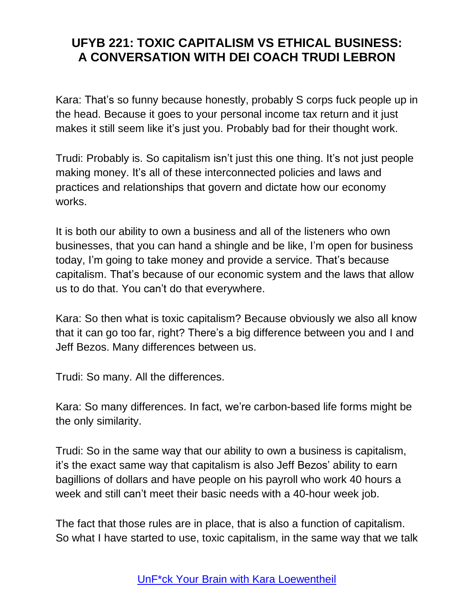Kara: That's so funny because honestly, probably S corps fuck people up in the head. Because it goes to your personal income tax return and it just makes it still seem like it's just you. Probably bad for their thought work.

Trudi: Probably is. So capitalism isn't just this one thing. It's not just people making money. It's all of these interconnected policies and laws and practices and relationships that govern and dictate how our economy works.

It is both our ability to own a business and all of the listeners who own businesses, that you can hand a shingle and be like, I'm open for business today, I'm going to take money and provide a service. That's because capitalism. That's because of our economic system and the laws that allow us to do that. You can't do that everywhere.

Kara: So then what is toxic capitalism? Because obviously we also all know that it can go too far, right? There's a big difference between you and I and Jeff Bezos. Many differences between us.

Trudi: So many. All the differences.

Kara: So many differences. In fact, we're carbon-based life forms might be the only similarity.

Trudi: So in the same way that our ability to own a business is capitalism, it's the exact same way that capitalism is also Jeff Bezos' ability to earn bagillions of dollars and have people on his payroll who work 40 hours a week and still can't meet their basic needs with a 40-hour week job.

The fact that those rules are in place, that is also a function of capitalism. So what I have started to use, toxic capitalism, in the same way that we talk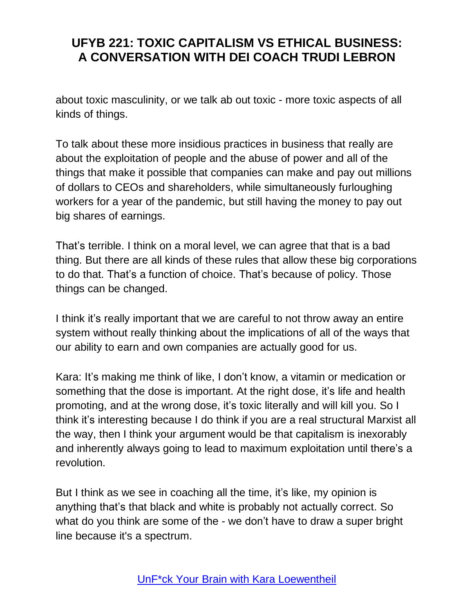about toxic masculinity, or we talk ab out toxic - more toxic aspects of all kinds of things.

To talk about these more insidious practices in business that really are about the exploitation of people and the abuse of power and all of the things that make it possible that companies can make and pay out millions of dollars to CEOs and shareholders, while simultaneously furloughing workers for a year of the pandemic, but still having the money to pay out big shares of earnings.

That's terrible. I think on a moral level, we can agree that that is a bad thing. But there are all kinds of these rules that allow these big corporations to do that. That's a function of choice. That's because of policy. Those things can be changed.

I think it's really important that we are careful to not throw away an entire system without really thinking about the implications of all of the ways that our ability to earn and own companies are actually good for us.

Kara: It's making me think of like, I don't know, a vitamin or medication or something that the dose is important. At the right dose, it's life and health promoting, and at the wrong dose, it's toxic literally and will kill you. So I think it's interesting because I do think if you are a real structural Marxist all the way, then I think your argument would be that capitalism is inexorably and inherently always going to lead to maximum exploitation until there's a revolution.

But I think as we see in coaching all the time, it's like, my opinion is anything that's that black and white is probably not actually correct. So what do you think are some of the - we don't have to draw a super bright line because it's a spectrum.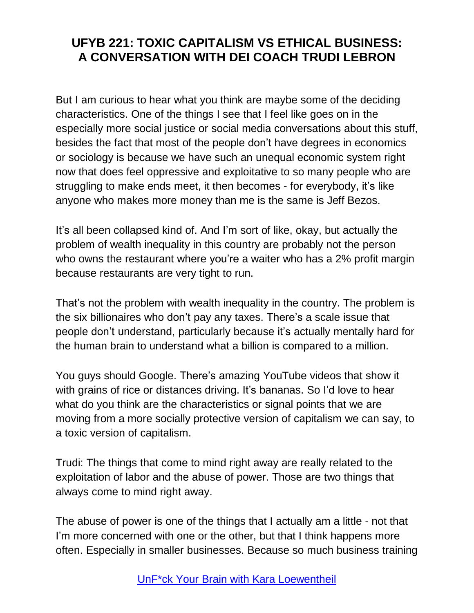But I am curious to hear what you think are maybe some of the deciding characteristics. One of the things I see that I feel like goes on in the especially more social justice or social media conversations about this stuff, besides the fact that most of the people don't have degrees in economics or sociology is because we have such an unequal economic system right now that does feel oppressive and exploitative to so many people who are struggling to make ends meet, it then becomes - for everybody, it's like anyone who makes more money than me is the same is Jeff Bezos.

It's all been collapsed kind of. And I'm sort of like, okay, but actually the problem of wealth inequality in this country are probably not the person who owns the restaurant where you're a waiter who has a 2% profit margin because restaurants are very tight to run.

That's not the problem with wealth inequality in the country. The problem is the six billionaires who don't pay any taxes. There's a scale issue that people don't understand, particularly because it's actually mentally hard for the human brain to understand what a billion is compared to a million.

You guys should Google. There's amazing YouTube videos that show it with grains of rice or distances driving. It's bananas. So I'd love to hear what do you think are the characteristics or signal points that we are moving from a more socially protective version of capitalism we can say, to a toxic version of capitalism.

Trudi: The things that come to mind right away are really related to the exploitation of labor and the abuse of power. Those are two things that always come to mind right away.

The abuse of power is one of the things that I actually am a little - not that I'm more concerned with one or the other, but that I think happens more often. Especially in smaller businesses. Because so much business training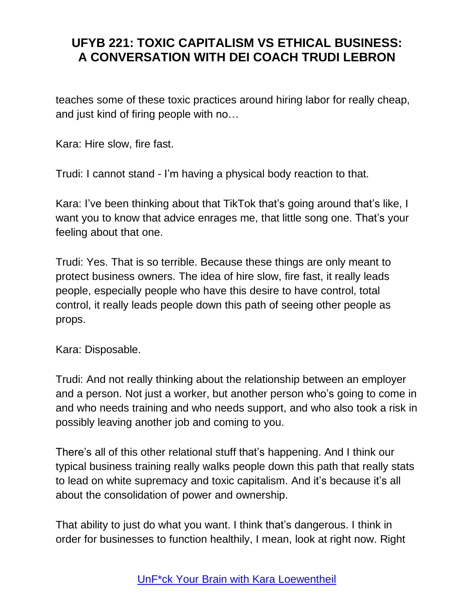teaches some of these toxic practices around hiring labor for really cheap, and just kind of firing people with no…

Kara: Hire slow, fire fast.

Trudi: I cannot stand - I'm having a physical body reaction to that.

Kara: I've been thinking about that TikTok that's going around that's like, I want you to know that advice enrages me, that little song one. That's your feeling about that one.

Trudi: Yes. That is so terrible. Because these things are only meant to protect business owners. The idea of hire slow, fire fast, it really leads people, especially people who have this desire to have control, total control, it really leads people down this path of seeing other people as props.

Kara: Disposable.

Trudi: And not really thinking about the relationship between an employer and a person. Not just a worker, but another person who's going to come in and who needs training and who needs support, and who also took a risk in possibly leaving another job and coming to you.

There's all of this other relational stuff that's happening. And I think our typical business training really walks people down this path that really stats to lead on white supremacy and toxic capitalism. And it's because it's all about the consolidation of power and ownership.

That ability to just do what you want. I think that's dangerous. I think in order for businesses to function healthily, I mean, look at right now. Right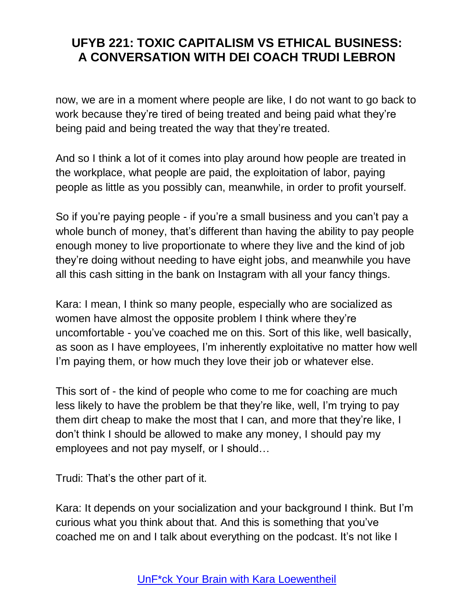now, we are in a moment where people are like, I do not want to go back to work because they're tired of being treated and being paid what they're being paid and being treated the way that they're treated.

And so I think a lot of it comes into play around how people are treated in the workplace, what people are paid, the exploitation of labor, paying people as little as you possibly can, meanwhile, in order to profit yourself.

So if you're paying people - if you're a small business and you can't pay a whole bunch of money, that's different than having the ability to pay people enough money to live proportionate to where they live and the kind of job they're doing without needing to have eight jobs, and meanwhile you have all this cash sitting in the bank on Instagram with all your fancy things.

Kara: I mean, I think so many people, especially who are socialized as women have almost the opposite problem I think where they're uncomfortable - you've coached me on this. Sort of this like, well basically, as soon as I have employees, I'm inherently exploitative no matter how well I'm paying them, or how much they love their job or whatever else.

This sort of - the kind of people who come to me for coaching are much less likely to have the problem be that they're like, well, I'm trying to pay them dirt cheap to make the most that I can, and more that they're like, I don't think I should be allowed to make any money, I should pay my employees and not pay myself, or I should…

Trudi: That's the other part of it.

Kara: It depends on your socialization and your background I think. But I'm curious what you think about that. And this is something that you've coached me on and I talk about everything on the podcast. It's not like I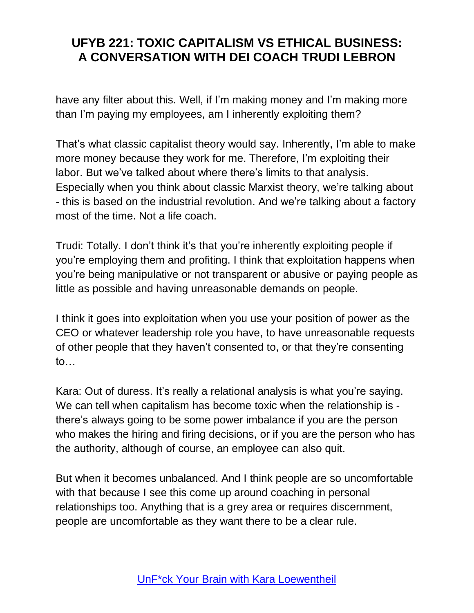have any filter about this. Well, if I'm making money and I'm making more than I'm paying my employees, am I inherently exploiting them?

That's what classic capitalist theory would say. Inherently, I'm able to make more money because they work for me. Therefore, I'm exploiting their labor. But we've talked about where there's limits to that analysis. Especially when you think about classic Marxist theory, we're talking about - this is based on the industrial revolution. And we're talking about a factory most of the time. Not a life coach.

Trudi: Totally. I don't think it's that you're inherently exploiting people if you're employing them and profiting. I think that exploitation happens when you're being manipulative or not transparent or abusive or paying people as little as possible and having unreasonable demands on people.

I think it goes into exploitation when you use your position of power as the CEO or whatever leadership role you have, to have unreasonable requests of other people that they haven't consented to, or that they're consenting to…

Kara: Out of duress. It's really a relational analysis is what you're saying. We can tell when capitalism has become toxic when the relationship is there's always going to be some power imbalance if you are the person who makes the hiring and firing decisions, or if you are the person who has the authority, although of course, an employee can also quit.

But when it becomes unbalanced. And I think people are so uncomfortable with that because I see this come up around coaching in personal relationships too. Anything that is a grey area or requires discernment, people are uncomfortable as they want there to be a clear rule.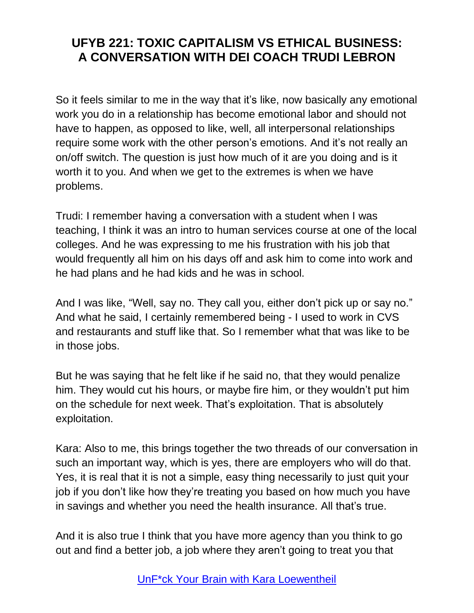So it feels similar to me in the way that it's like, now basically any emotional work you do in a relationship has become emotional labor and should not have to happen, as opposed to like, well, all interpersonal relationships require some work with the other person's emotions. And it's not really an on/off switch. The question is just how much of it are you doing and is it worth it to you. And when we get to the extremes is when we have problems.

Trudi: I remember having a conversation with a student when I was teaching, I think it was an intro to human services course at one of the local colleges. And he was expressing to me his frustration with his job that would frequently all him on his days off and ask him to come into work and he had plans and he had kids and he was in school.

And I was like, "Well, say no. They call you, either don't pick up or say no." And what he said, I certainly remembered being - I used to work in CVS and restaurants and stuff like that. So I remember what that was like to be in those jobs.

But he was saying that he felt like if he said no, that they would penalize him. They would cut his hours, or maybe fire him, or they wouldn't put him on the schedule for next week. That's exploitation. That is absolutely exploitation.

Kara: Also to me, this brings together the two threads of our conversation in such an important way, which is yes, there are employers who will do that. Yes, it is real that it is not a simple, easy thing necessarily to just quit your job if you don't like how they're treating you based on how much you have in savings and whether you need the health insurance. All that's true.

And it is also true I think that you have more agency than you think to go out and find a better job, a job where they aren't going to treat you that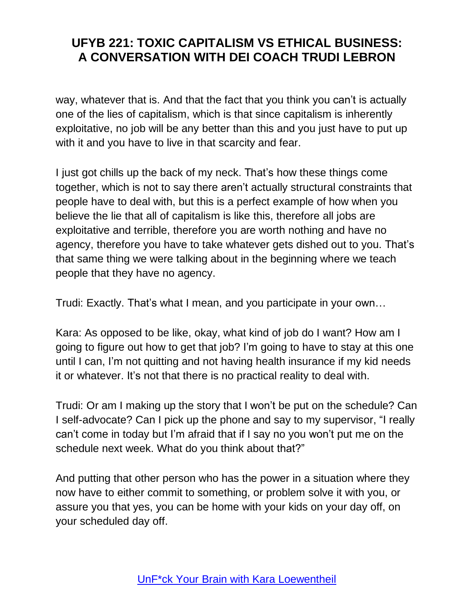way, whatever that is. And that the fact that you think you can't is actually one of the lies of capitalism, which is that since capitalism is inherently exploitative, no job will be any better than this and you just have to put up with it and you have to live in that scarcity and fear.

I just got chills up the back of my neck. That's how these things come together, which is not to say there aren't actually structural constraints that people have to deal with, but this is a perfect example of how when you believe the lie that all of capitalism is like this, therefore all jobs are exploitative and terrible, therefore you are worth nothing and have no agency, therefore you have to take whatever gets dished out to you. That's that same thing we were talking about in the beginning where we teach people that they have no agency.

Trudi: Exactly. That's what I mean, and you participate in your own…

Kara: As opposed to be like, okay, what kind of job do I want? How am I going to figure out how to get that job? I'm going to have to stay at this one until I can, I'm not quitting and not having health insurance if my kid needs it or whatever. It's not that there is no practical reality to deal with.

Trudi: Or am I making up the story that I won't be put on the schedule? Can I self-advocate? Can I pick up the phone and say to my supervisor, "I really can't come in today but I'm afraid that if I say no you won't put me on the schedule next week. What do you think about that?"

And putting that other person who has the power in a situation where they now have to either commit to something, or problem solve it with you, or assure you that yes, you can be home with your kids on your day off, on your scheduled day off.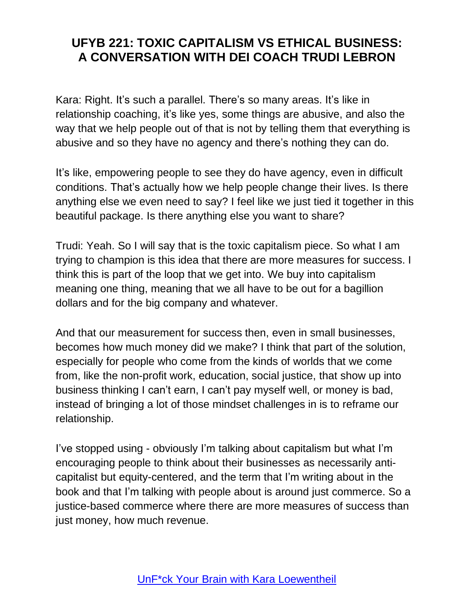Kara: Right. It's such a parallel. There's so many areas. It's like in relationship coaching, it's like yes, some things are abusive, and also the way that we help people out of that is not by telling them that everything is abusive and so they have no agency and there's nothing they can do.

It's like, empowering people to see they do have agency, even in difficult conditions. That's actually how we help people change their lives. Is there anything else we even need to say? I feel like we just tied it together in this beautiful package. Is there anything else you want to share?

Trudi: Yeah. So I will say that is the toxic capitalism piece. So what I am trying to champion is this idea that there are more measures for success. I think this is part of the loop that we get into. We buy into capitalism meaning one thing, meaning that we all have to be out for a bagillion dollars and for the big company and whatever.

And that our measurement for success then, even in small businesses, becomes how much money did we make? I think that part of the solution, especially for people who come from the kinds of worlds that we come from, like the non-profit work, education, social justice, that show up into business thinking I can't earn, I can't pay myself well, or money is bad, instead of bringing a lot of those mindset challenges in is to reframe our relationship.

I've stopped using - obviously I'm talking about capitalism but what I'm encouraging people to think about their businesses as necessarily anticapitalist but equity-centered, and the term that I'm writing about in the book and that I'm talking with people about is around just commerce. So a justice-based commerce where there are more measures of success than just money, how much revenue.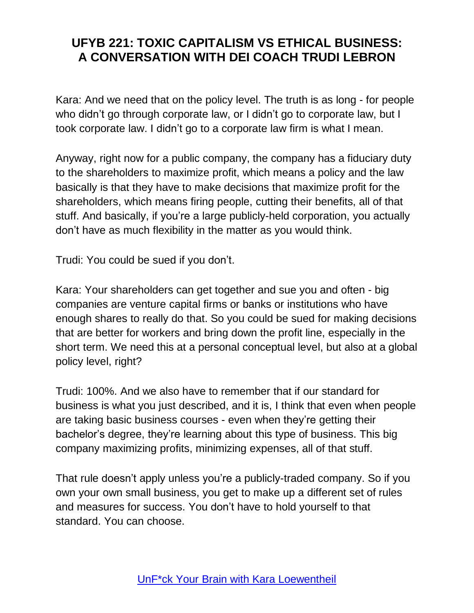Kara: And we need that on the policy level. The truth is as long - for people who didn't go through corporate law, or I didn't go to corporate law, but I took corporate law. I didn't go to a corporate law firm is what I mean.

Anyway, right now for a public company, the company has a fiduciary duty to the shareholders to maximize profit, which means a policy and the law basically is that they have to make decisions that maximize profit for the shareholders, which means firing people, cutting their benefits, all of that stuff. And basically, if you're a large publicly-held corporation, you actually don't have as much flexibility in the matter as you would think.

Trudi: You could be sued if you don't.

Kara: Your shareholders can get together and sue you and often - big companies are venture capital firms or banks or institutions who have enough shares to really do that. So you could be sued for making decisions that are better for workers and bring down the profit line, especially in the short term. We need this at a personal conceptual level, but also at a global policy level, right?

Trudi: 100%. And we also have to remember that if our standard for business is what you just described, and it is, I think that even when people are taking basic business courses - even when they're getting their bachelor's degree, they're learning about this type of business. This big company maximizing profits, minimizing expenses, all of that stuff.

That rule doesn't apply unless you're a publicly-traded company. So if you own your own small business, you get to make up a different set of rules and measures for success. You don't have to hold yourself to that standard. You can choose.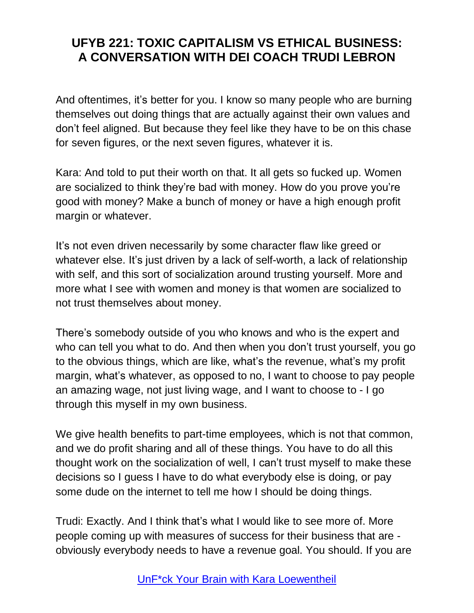And oftentimes, it's better for you. I know so many people who are burning themselves out doing things that are actually against their own values and don't feel aligned. But because they feel like they have to be on this chase for seven figures, or the next seven figures, whatever it is.

Kara: And told to put their worth on that. It all gets so fucked up. Women are socialized to think they're bad with money. How do you prove you're good with money? Make a bunch of money or have a high enough profit margin or whatever.

It's not even driven necessarily by some character flaw like greed or whatever else. It's just driven by a lack of self-worth, a lack of relationship with self, and this sort of socialization around trusting yourself. More and more what I see with women and money is that women are socialized to not trust themselves about money.

There's somebody outside of you who knows and who is the expert and who can tell you what to do. And then when you don't trust yourself, you go to the obvious things, which are like, what's the revenue, what's my profit margin, what's whatever, as opposed to no, I want to choose to pay people an amazing wage, not just living wage, and I want to choose to - I go through this myself in my own business.

We give health benefits to part-time employees, which is not that common, and we do profit sharing and all of these things. You have to do all this thought work on the socialization of well, I can't trust myself to make these decisions so I guess I have to do what everybody else is doing, or pay some dude on the internet to tell me how I should be doing things.

Trudi: Exactly. And I think that's what I would like to see more of. More people coming up with measures of success for their business that are obviously everybody needs to have a revenue goal. You should. If you are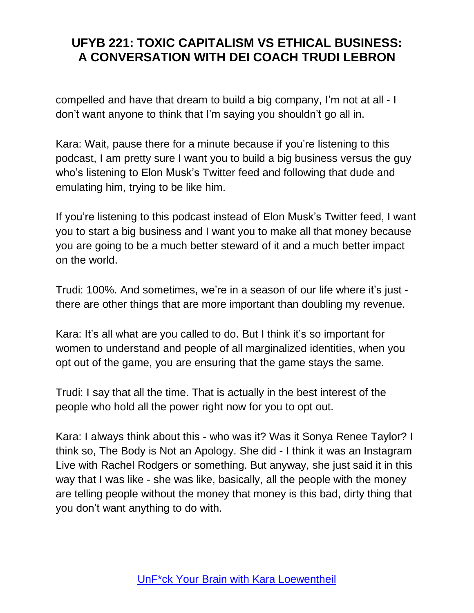compelled and have that dream to build a big company, I'm not at all - I don't want anyone to think that I'm saying you shouldn't go all in.

Kara: Wait, pause there for a minute because if you're listening to this podcast, I am pretty sure I want you to build a big business versus the guy who's listening to Elon Musk's Twitter feed and following that dude and emulating him, trying to be like him.

If you're listening to this podcast instead of Elon Musk's Twitter feed, I want you to start a big business and I want you to make all that money because you are going to be a much better steward of it and a much better impact on the world.

Trudi: 100%. And sometimes, we're in a season of our life where it's just there are other things that are more important than doubling my revenue.

Kara: It's all what are you called to do. But I think it's so important for women to understand and people of all marginalized identities, when you opt out of the game, you are ensuring that the game stays the same.

Trudi: I say that all the time. That is actually in the best interest of the people who hold all the power right now for you to opt out.

Kara: I always think about this - who was it? Was it Sonya Renee Taylor? I think so, The Body is Not an Apology. She did - I think it was an Instagram Live with Rachel Rodgers or something. But anyway, she just said it in this way that I was like - she was like, basically, all the people with the money are telling people without the money that money is this bad, dirty thing that you don't want anything to do with.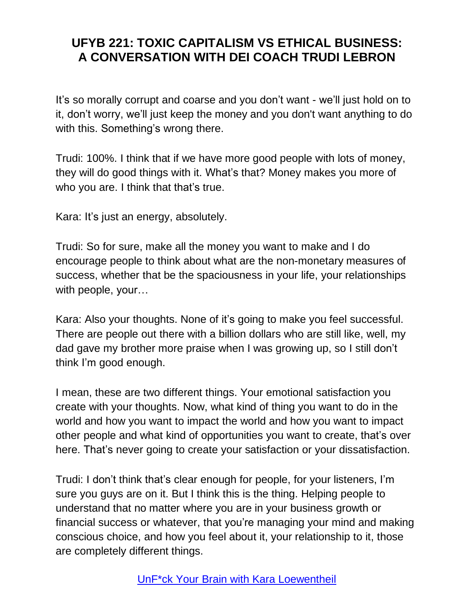It's so morally corrupt and coarse and you don't want - we'll just hold on to it, don't worry, we'll just keep the money and you don't want anything to do with this. Something's wrong there.

Trudi: 100%. I think that if we have more good people with lots of money, they will do good things with it. What's that? Money makes you more of who you are. I think that that's true.

Kara: It's just an energy, absolutely.

Trudi: So for sure, make all the money you want to make and I do encourage people to think about what are the non-monetary measures of success, whether that be the spaciousness in your life, your relationships with people, your…

Kara: Also your thoughts. None of it's going to make you feel successful. There are people out there with a billion dollars who are still like, well, my dad gave my brother more praise when I was growing up, so I still don't think I'm good enough.

I mean, these are two different things. Your emotional satisfaction you create with your thoughts. Now, what kind of thing you want to do in the world and how you want to impact the world and how you want to impact other people and what kind of opportunities you want to create, that's over here. That's never going to create your satisfaction or your dissatisfaction.

Trudi: I don't think that's clear enough for people, for your listeners, I'm sure you guys are on it. But I think this is the thing. Helping people to understand that no matter where you are in your business growth or financial success or whatever, that you're managing your mind and making conscious choice, and how you feel about it, your relationship to it, those are completely different things.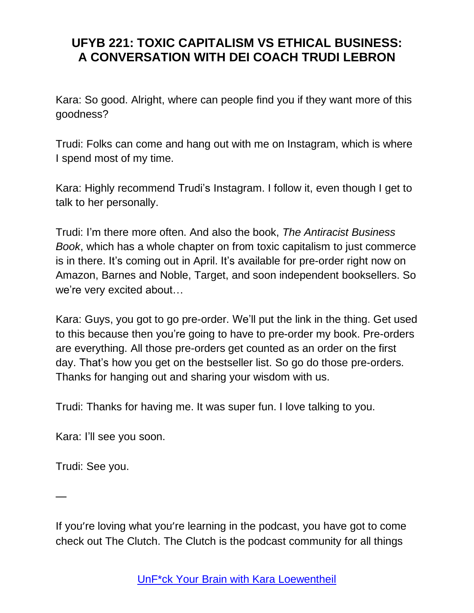Kara: So good. Alright, where can people find you if they want more of this goodness?

Trudi: Folks can come and hang out with me on Instagram, which is where I spend most of my time.

Kara: Highly recommend Trudi's Instagram. I follow it, even though I get to talk to her personally.

Trudi: I'm there more often. And also the book, *The Antiracist Business Book*, which has a whole chapter on from toxic capitalism to just commerce is in there. It's coming out in April. It's available for pre-order right now on Amazon, Barnes and Noble, Target, and soon independent booksellers. So we're very excited about…

Kara: Guys, you got to go pre-order. We'll put the link in the thing. Get used to this because then you're going to have to pre-order my book. Pre-orders are everything. All those pre-orders get counted as an order on the first day. That's how you get on the bestseller list. So go do those pre-orders. Thanks for hanging out and sharing your wisdom with us.

Trudi: Thanks for having me. It was super fun. I love talking to you.

Kara: I'll see you soon.

Trudi: See you.

—

If you're loving what you're learning in the podcast, you have got to come check out The Clutch. The Clutch is the podcast community for all things